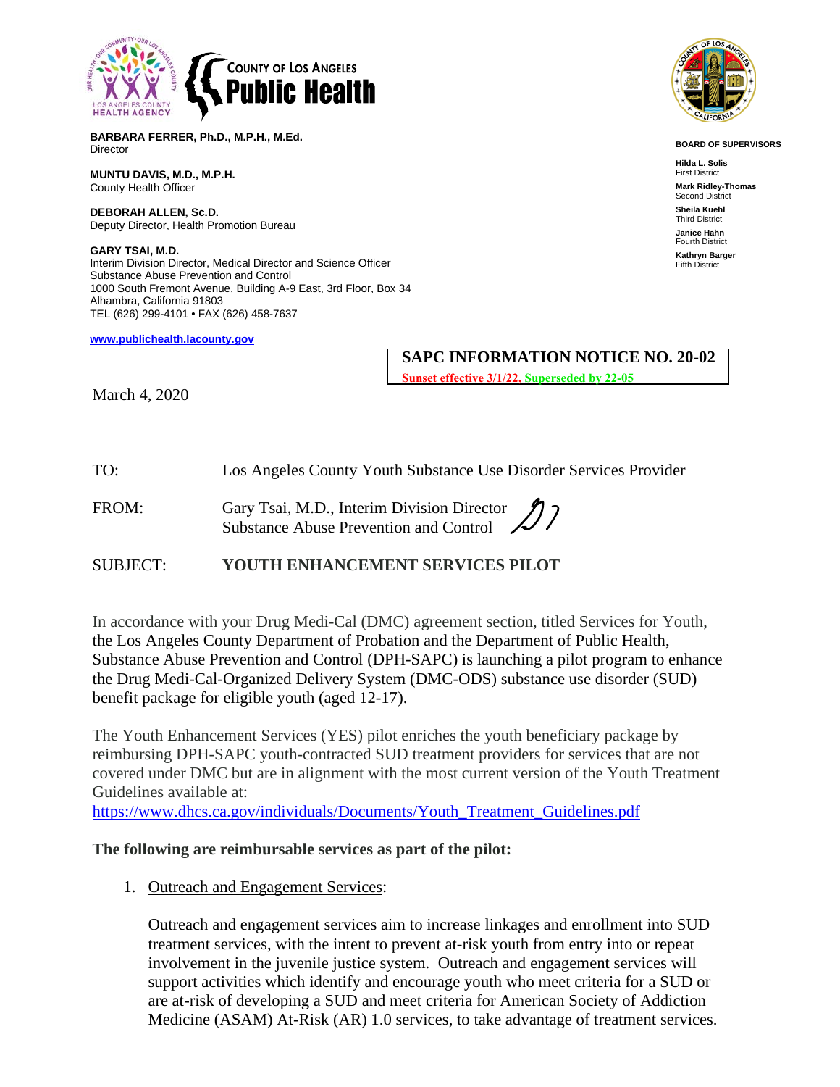

**BOARD OF SUPERVISORS**

**Hilda L. Solis** First District **Mark Ridley-Thomas** Second District **Sheila Kuehl** Third District **Janice Hahn** Fourth District **Kathryn Barger** Fifth District

**BARBARA FERRER, Ph.D., M.P.H., M.Ed. Director** 

**MUNTU DAVIS, M.D., M.P.H.** County Health Officer

**DEBORAH ALLEN, Sc.D.** Deputy Director, Health Promotion Bureau

**GARY TSAI, M.D.** Interim Division Director, Medical Director and Science Officer Substance Abuse Prevention and Control 1000 South Fremont Avenue, Building A-9 East, 3rd Floor, Box 34 Alhambra, California 91803 TEL (626) 299-4101 • FAX (626) 458-7637

**[www.publichealth.lacounty.gov](about:blank)**

## **SAPC INFORMATION NOTICE NO. 20-02**

**Sunset effective 3/1/22, Superseded by 22-05**

March 4, 2020

TO: Los Angeles County Youth Substance Use Disorder Services Provider

FROM: Gary Tsai, M.D., Interim Division Director Substance Abuse Prevention and Control

SUBJECT: **YOUTH ENHANCEMENT SERVICES PILOT**

In accordance with your Drug Medi-Cal (DMC) agreement section, titled Services for Youth, the Los Angeles County Department of Probation and the Department of Public Health, Substance Abuse Prevention and Control (DPH-SAPC) is launching a pilot program to enhance the Drug Medi-Cal-Organized Delivery System (DMC-ODS) substance use disorder (SUD) benefit package for eligible youth (aged 12-17).

The Youth Enhancement Services (YES) pilot enriches the youth beneficiary package by reimbursing DPH-SAPC youth-contracted SUD treatment providers for services that are not covered under DMC but are in alignment with the most current version of the Youth Treatment Guidelines available at:

[https://www.dhcs.ca.gov/individuals/Documents/Youth\\_Treatment\\_Guidelines.pdf](about:blank)

### **The following are reimbursable services as part of the pilot:**

1. Outreach and Engagement Services:

Outreach and engagement services aim to increase linkages and enrollment into SUD treatment services, with the intent to prevent at-risk youth from entry into or repeat involvement in the juvenile justice system. Outreach and engagement services will support activities which identify and encourage youth who meet criteria for a SUD or are at-risk of developing a SUD and meet criteria for American Society of Addiction Medicine (ASAM) At-Risk (AR) 1.0 services, to take advantage of treatment services.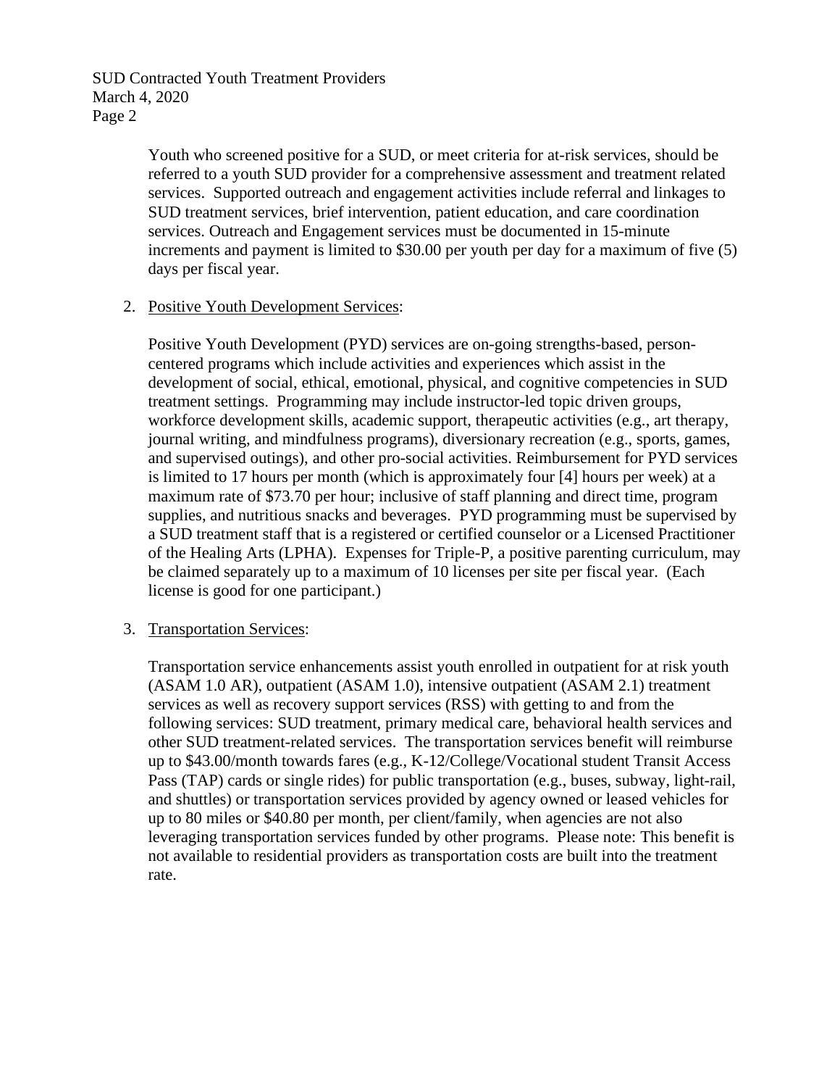SUD Contracted Youth Treatment Providers March 4, 2020 Page 2

> Youth who screened positive for a SUD, or meet criteria for at-risk services, should be referred to a youth SUD provider for a comprehensive assessment and treatment related services. Supported outreach and engagement activities include referral and linkages to SUD treatment services, brief intervention, patient education, and care coordination services. Outreach and Engagement services must be documented in 15-minute increments and payment is limited to \$30.00 per youth per day for a maximum of five (5) days per fiscal year.

### 2. Positive Youth Development Services:

Positive Youth Development (PYD) services are on-going strengths-based, personcentered programs which include activities and experiences which assist in the development of social, ethical, emotional, physical, and cognitive competencies in SUD treatment settings. Programming may include instructor-led topic driven groups, workforce development skills, academic support, therapeutic activities (e.g., art therapy, journal writing, and mindfulness programs), diversionary recreation (e.g., sports, games, and supervised outings), and other pro-social activities. Reimbursement for PYD services is limited to 17 hours per month (which is approximately four [4] hours per week) at a maximum rate of \$73.70 per hour; inclusive of staff planning and direct time, program supplies, and nutritious snacks and beverages. PYD programming must be supervised by a SUD treatment staff that is a registered or certified counselor or a Licensed Practitioner of the Healing Arts (LPHA). Expenses for Triple-P, a positive parenting curriculum, may be claimed separately up to a maximum of 10 licenses per site per fiscal year. (Each license is good for one participant.)

### 3. Transportation Services:

Transportation service enhancements assist youth enrolled in outpatient for at risk youth (ASAM 1.0 AR), outpatient (ASAM 1.0), intensive outpatient (ASAM 2.1) treatment services as well as recovery support services (RSS) with getting to and from the following services: SUD treatment, primary medical care, behavioral health services and other SUD treatment-related services. The transportation services benefit will reimburse up to \$43.00/month towards fares (e.g., K-12/College/Vocational student Transit Access Pass (TAP) cards or single rides) for public transportation (e.g., buses, subway, light-rail, and shuttles) or transportation services provided by agency owned or leased vehicles for up to 80 miles or \$40.80 per month, per client/family, when agencies are not also leveraging transportation services funded by other programs. Please note: This benefit is not available to residential providers as transportation costs are built into the treatment rate.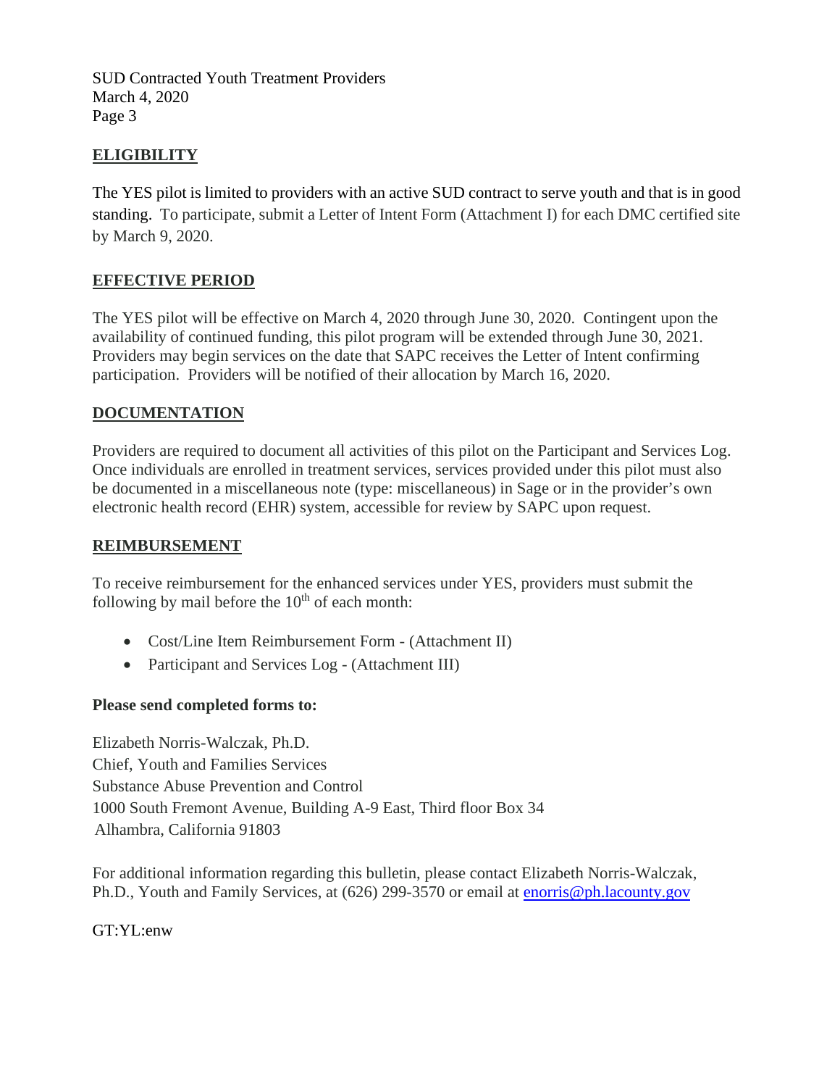SUD Contracted Youth Treatment Providers March 4, 2020 Page 3

# **ELIGIBILITY**

The YES pilot is limited to providers with an active SUD contract to serve youth and that is in good standing. To participate, submit a Letter of Intent Form (Attachment I) for each DMC certified site by March 9, 2020.

## **EFFECTIVE PERIOD**

The YES pilot will be effective on March 4, 2020 through June 30, 2020. Contingent upon the availability of continued funding, this pilot program will be extended through June 30, 2021. Providers may begin services on the date that SAPC receives the Letter of Intent confirming participation. Providers will be notified of their allocation by March 16, 2020.

## **DOCUMENTATION**

Providers are required to document all activities of this pilot on the Participant and Services Log. Once individuals are enrolled in treatment services, services provided under this pilot must also be documented in a miscellaneous note (type: miscellaneous) in Sage or in the provider's own electronic health record (EHR) system, accessible for review by SAPC upon request.

### **REIMBURSEMENT**

To receive reimbursement for the enhanced services under YES, providers must submit the following by mail before the  $10<sup>th</sup>$  of each month:

- Cost/Line Item Reimbursement Form (Attachment II)
- Participant and Services Log (Attachment III)

### **Please send completed forms to:**

Elizabeth Norris-Walczak, Ph.D. Chief, Youth and Families Services Substance Abuse Prevention and Control 1000 South Fremont Avenue, Building A-9 East, Third floor Box 34 Alhambra, California 91803

For additional information regarding this bulletin, please contact Elizabeth Norris-Walczak, Ph.D., Youth and Family Services, at (626) 299-3570 or email at [enorris@ph.lacounty.gov](mailto:enorris@ph.lacounty.gov)

GT:YL:enw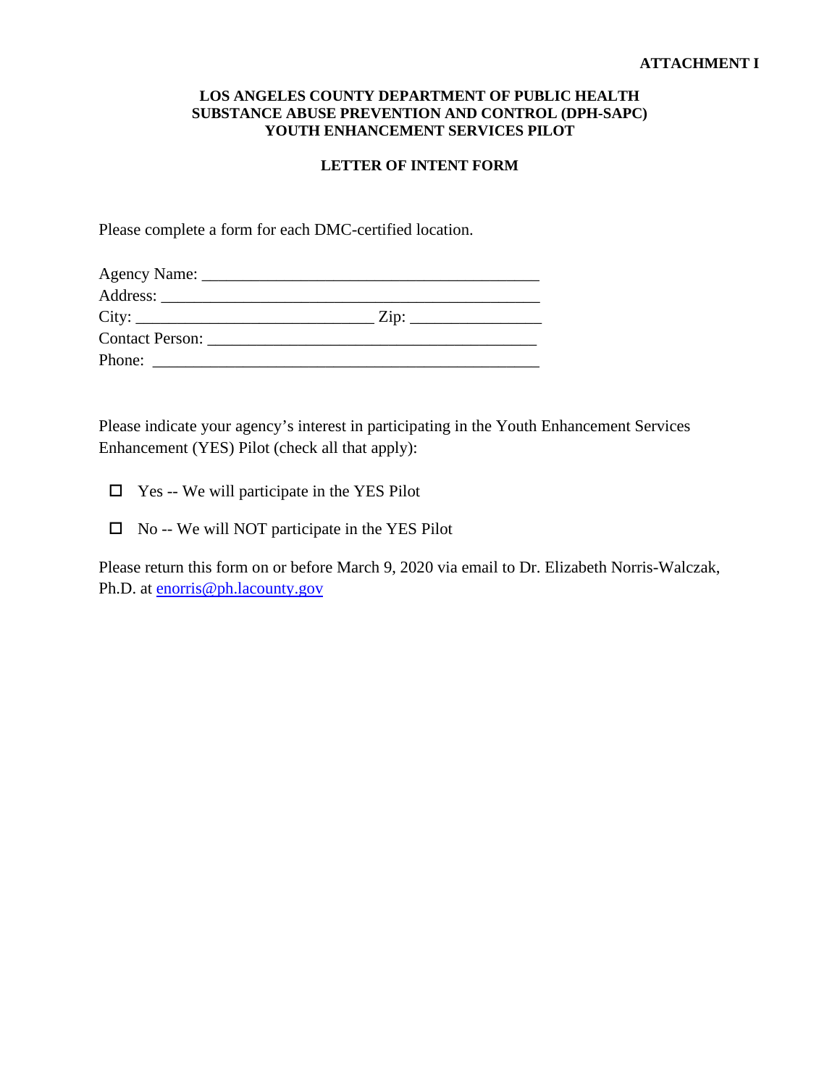#### **LOS ANGELES COUNTY DEPARTMENT OF PUBLIC HEALTH SUBSTANCE ABUSE PREVENTION AND CONTROL (DPH-SAPC) YOUTH ENHANCEMENT SERVICES PILOT**

#### **LETTER OF INTENT FORM**

Please complete a form for each DMC-certified location.

| City:                  | $\overline{\mathrm{Zip: }}$ |  |
|------------------------|-----------------------------|--|
| <b>Contact Person:</b> |                             |  |
| Phone:                 |                             |  |

Please indicate your agency's interest in participating in the Youth Enhancement Services Enhancement (YES) Pilot (check all that apply):

Yes -- We will participate in the YES Pilot

 $\Box$  No -- We will NOT participate in the YES Pilot

Please return this form on or before March 9, 2020 via email to Dr. Elizabeth Norris-Walczak, Ph.D. at [enorris@ph.lacounty.gov](about:blank)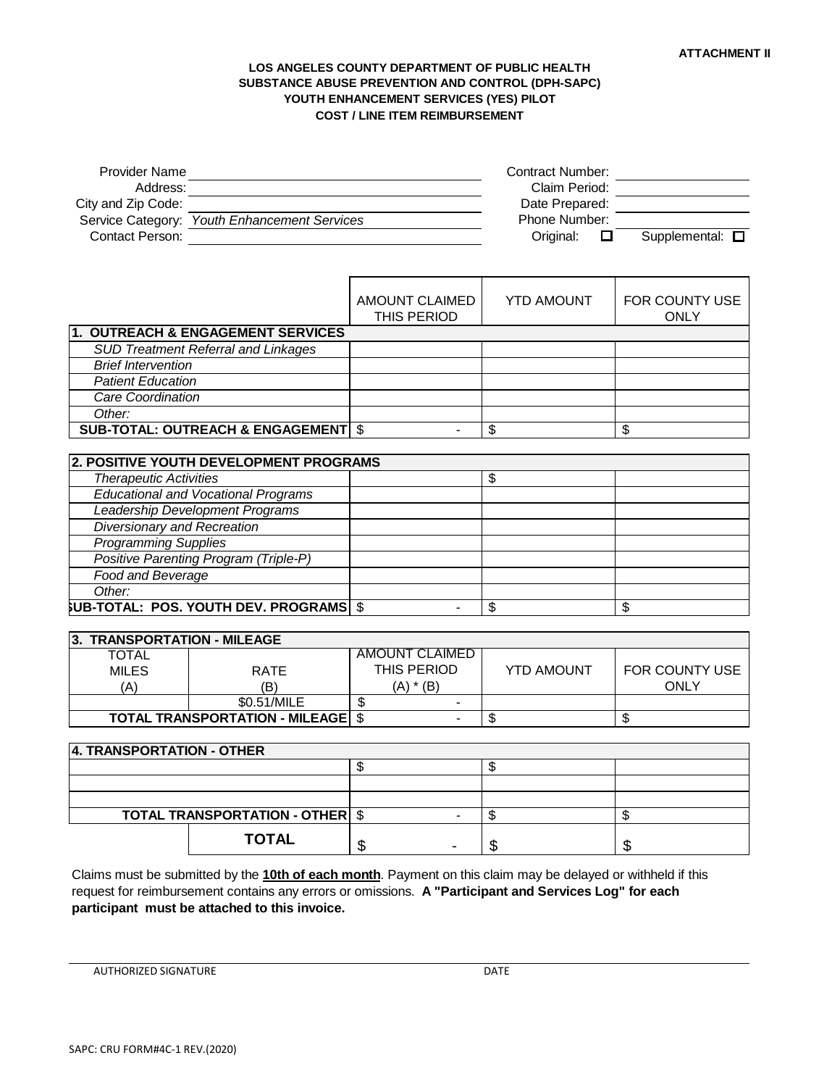#### **LOS ANGELES COUNTY DEPARTMENT OF PUBLIC HEALTH SUBSTANCE ABUSE PREVENTION AND CONTROL (DPH-SAPC) YOUTH ENHANCEMENT SERVICES (YES) PILOT COST / LINE ITEM REIMBURSEMENT**

| <b>Provider Name</b><br>Address:<br>City and Zip Code:<br>Contact Person: | Service Category: Youth Enhancement Services   |                                      | <b>Contract Number:</b><br>Claim Period:<br>Date Prepared:<br>Phone Number:<br>Supplemental: <b>O</b><br>Original:<br>□ |                               |
|---------------------------------------------------------------------------|------------------------------------------------|--------------------------------------|-------------------------------------------------------------------------------------------------------------------------|-------------------------------|
|                                                                           |                                                | <b>AMOUNT CLAIMED</b><br>THIS PERIOD | <b>YTD AMOUNT</b>                                                                                                       | FOR COUNTY USE<br><b>ONLY</b> |
|                                                                           | 1. OUTREACH & ENGAGEMENT SERVICES              |                                      |                                                                                                                         |                               |
|                                                                           | <b>SUD Treatment Referral and Linkages</b>     |                                      |                                                                                                                         |                               |
| <b>Brief Intervention</b><br><b>Patient Education</b>                     |                                                |                                      |                                                                                                                         |                               |
| <b>Care Coordination</b>                                                  |                                                |                                      |                                                                                                                         |                               |
| Other:                                                                    |                                                |                                      |                                                                                                                         |                               |
|                                                                           | <b>SUB-TOTAL: OUTREACH &amp; ENGAGEMENT \$</b> |                                      | \$                                                                                                                      | \$                            |
|                                                                           |                                                |                                      |                                                                                                                         |                               |
|                                                                           | 2. POSITIVE YOUTH DEVELOPMENT PROGRAMS         |                                      |                                                                                                                         |                               |
| <b>Therapeutic Activities</b>                                             |                                                |                                      | \$                                                                                                                      |                               |
|                                                                           | <b>Educational and Vocational Programs</b>     |                                      |                                                                                                                         |                               |
|                                                                           | Leadership Development Programs                |                                      |                                                                                                                         |                               |
| <b>Diversionary and Recreation</b>                                        |                                                |                                      |                                                                                                                         |                               |
| <b>Programming Supplies</b>                                               |                                                |                                      |                                                                                                                         |                               |
|                                                                           | Positive Parenting Program (Triple-P)          |                                      |                                                                                                                         |                               |
| Food and Beverage                                                         |                                                |                                      |                                                                                                                         |                               |
| Other:                                                                    |                                                |                                      |                                                                                                                         |                               |
|                                                                           | <b>SUB-TOTAL: POS. YOUTH DEV. PROGRAMS \$</b>  |                                      | \$                                                                                                                      | \$                            |
|                                                                           |                                                |                                      |                                                                                                                         |                               |
| 3. TRANSPORTATION - MILEAGE                                               |                                                |                                      |                                                                                                                         |                               |
| <b>TOTAL</b>                                                              |                                                | <b>AMOUNT CLAIMED</b>                |                                                                                                                         |                               |
| <b>MILES</b>                                                              | <b>RATE</b>                                    | THIS PERIOD                          | <b>YTD AMOUNT</b>                                                                                                       | FOR COUNTY USE                |
| (A)                                                                       | (B)<br>\$0.51/MILE                             | $(A) * (B)$<br>\$                    |                                                                                                                         | <b>ONLY</b>                   |
|                                                                           | <b>TOTAL TRANSPORTATION - MILEAGE</b>          | $\blacksquare$<br>\$                 | $\overline{\mathcal{E}}$                                                                                                | \$                            |
|                                                                           |                                                |                                      |                                                                                                                         |                               |
| 4. TRANSPORTATION - OTHER                                                 |                                                |                                      |                                                                                                                         |                               |
|                                                                           |                                                | \$                                   | \$                                                                                                                      |                               |
|                                                                           |                                                |                                      |                                                                                                                         |                               |
|                                                                           |                                                |                                      |                                                                                                                         |                               |
|                                                                           | <b>TOTAL TRANSPORTATION - OTHER</b>            | $\overline{\mathfrak{s}}$            | \$                                                                                                                      | \$                            |
|                                                                           |                                                |                                      |                                                                                                                         |                               |

Claims must be submitted by the **10th of each month**. Payment on this claim may be delayed or withheld if this request for reimbursement contains any errors or omissions. **A "Participant and Services Log" for each participant must be attached to this invoice.**

**TOTAL**  $\begin{array}{|c|c|c|c|c|}\hline \$ & & \\\hline \end{array}$ 

AUTHORIZED SIGNATURE **DATE**